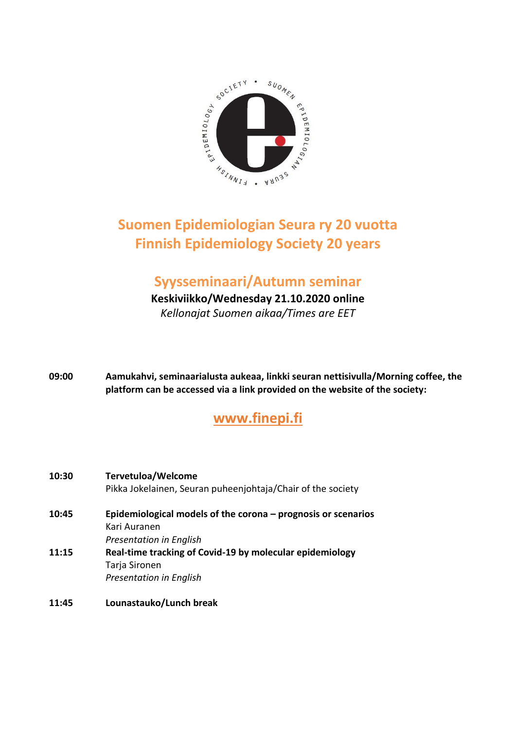

## **Suomen Epidemiologian Seura ry 20 vuotta Finnish Epidemiology Society 20 years**

## **Syysseminaari/Autumn seminar**

**Keskiviikko/Wednesday 21.10.2020 online**

*Kellonajat Suomen aikaa/Times are EET*

**09:00 Aamukahvi, seminaarialusta aukeaa, linkki seuran nettisivulla/Morning coffee, the platform can be accessed via a link provided on the website of the society:**

## **[www.finepi.fi](http://www.finepi.fi/)**

| 10:30 | <b>Tervetuloa/Welcome</b>                                     |
|-------|---------------------------------------------------------------|
|       | Pikka Jokelainen, Seuran puheenjohtaja/Chair of the society   |
| 10:45 | Epidemiological models of the corona - prognosis or scenarios |
|       | Kari Auranen                                                  |
|       | <b>Presentation in English</b>                                |
| 11:15 | Real-time tracking of Covid-19 by molecular epidemiology      |
|       | Tarja Sironen                                                 |
|       | <b>Presentation in English</b>                                |
|       |                                                               |

**11:45 Lounastauko/Lunch break**